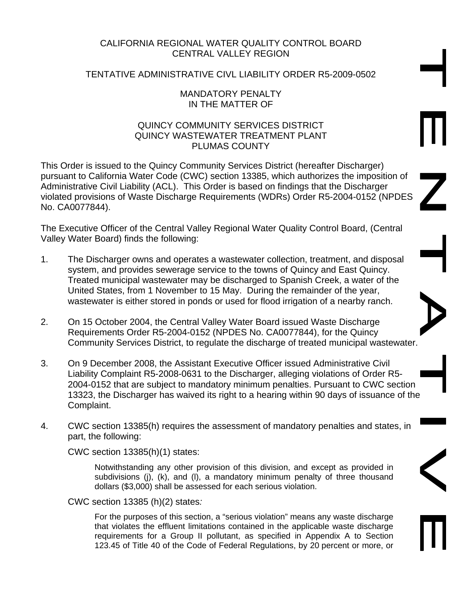# CALIFORNIA REGIONAL WATER QUALITY CONTROL BOARD CENTRAL VALLEY REGION

# TENTATIVE ADMINISTRATIVE CIVL LIABILITY ORDER R5-2009-0502

#### MANDATORY PENALTY IN THE MATTER OF

### QUINCY COMMUNITY SERVICES DISTRICT QUINCY WASTEWATER TREATMENT PLANT PLUMAS COUNTY

This Order is issued to the Quincy Community Services District (hereafter Discharger) pursuant to California Water Code (CWC) section 13385, which authorizes the imposition of Administrative Civil Liability (ACL). This Order is based on findings that the Discharger violated provisions of Waste Discharge Requirements (WDRs) Order R5-2004-0152 (NPDES No. CA0077844).

The Executive Officer of the Central Valley Regional Water Quality Control Board, (Central Valley Water Board) finds the following:

- 1. The Discharger owns and operates a wastewater collection, treatment, and disposal system, and provides sewerage service to the towns of Quincy and East Quincy. Treated municipal wastewater may be discharged to Spanish Creek, a water of the United States, from 1 November to 15 May. During the remainder of the year, wastewater is either stored in ponds or used for flood irrigation of a nearby ranch.
- 2. On 15 October 2004, the Central Valley Water Board issued Waste Discharge Requirements Order R5-2004-0152 (NPDES No. CA0077844), for the Quincy Community Services District, to regulate the discharge of treated municipal wastewater.
- 3. On 9 December 2008, the Assistant Executive Officer issued Administrative Civil Liability Complaint R5-2008-0631 to the Discharger, alleging violations of Order R5- 2004-0152 that are subject to mandatory minimum penalties. Pursuant to CWC section 13323, the Discharger has waived its right to a hearing within 90 days of issuance of the Complaint.
- 4. CWC section 13385(h) requires the assessment of mandatory penalties and states, in part, the following:

CWC section 13385(h)(1) states:

Notwithstanding any other provision of this division, and except as provided in subdivisions (j), (k), and (l), a mandatory minimum penalty of three thousand dollars (\$3,000) shall be assessed for each serious violation.

CWC section 13385 (h)(2) states*:* 

For the purposes of this section, a "serious violation" means any waste discharge that violates the effluent limitations contained in the applicable waste discharge requirements for a Group II pollutant, as specified in Appendix A to Section 123.45 of Title 40 of the Code of Federal Regulations, by 20 percent or more, or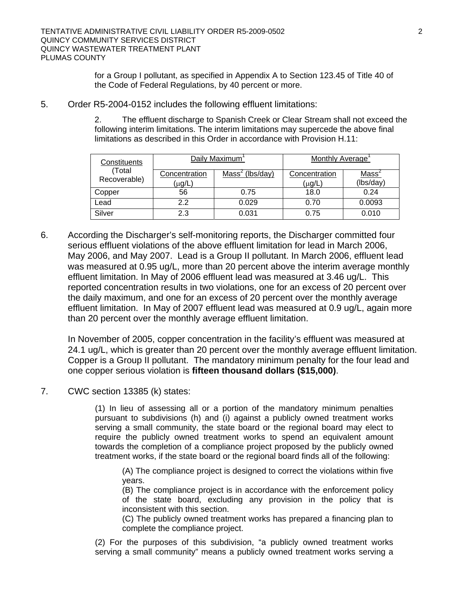for a Group I pollutant, as specified in Appendix A to Section 123.45 of Title 40 of the Code of Federal Regulations, by 40 percent or more.

5. Order R5-2004-0152 includes the following effluent limitations:

2. The effluent discharge to Spanish Creek or Clear Stream shall not exceed the following interim limitations. The interim limitations may supercede the above final limitations as described in this Order in accordance with Provision H.11:

| Constituents<br>(Total<br>Recoverable) | Daily Maximum'          |                             | Monthly Average         |                                |
|----------------------------------------|-------------------------|-----------------------------|-------------------------|--------------------------------|
|                                        | Concentration<br>(μg/L) | Mass <sup>2</sup> (lbs/day) | Concentration<br>(μg/L) | Mass <sup>2</sup><br>(lbs/day) |
| Copper                                 | 56                      | 0.75                        | 18.0                    | 0.24                           |
| ∟ead                                   | 2.2                     | 0.029                       | 0.70                    | 0.0093                         |
| Silver                                 | 2.3                     | 0.031                       | 0.75                    | 0.010                          |

6. According the Discharger's self-monitoring reports, the Discharger committed four serious effluent violations of the above effluent limitation for lead in March 2006, May 2006, and May 2007. Lead is a Group II pollutant. In March 2006, effluent lead was measured at 0.95 ug/L, more than 20 percent above the interim average monthly effluent limitation. In May of 2006 effluent lead was measured at 3.46 ug/L. This reported concentration results in two violations, one for an excess of 20 percent over the daily maximum, and one for an excess of 20 percent over the monthly average effluent limitation. In May of 2007 effluent lead was measured at 0.9 ug/L, again more than 20 percent over the monthly average effluent limitation.

In November of 2005, copper concentration in the facility's effluent was measured at 24.1 ug/L, which is greater than 20 percent over the monthly average effluent limitation. Copper is a Group II pollutant. The mandatory minimum penalty for the four lead and one copper serious violation is **fifteen thousand dollars (\$15,000)**.

7. CWC section 13385 (k) states:

(1) In lieu of assessing all or a portion of the mandatory minimum penalties pursuant to subdivisions (h) and (i) against a publicly owned treatment works serving a small community, the state board or the regional board may elect to require the publicly owned treatment works to spend an equivalent amount towards the completion of a compliance project proposed by the publicly owned treatment works, if the state board or the regional board finds all of the following:

(A) The compliance project is designed to correct the violations within five years.

(B) The compliance project is in accordance with the enforcement policy of the state board, excluding any provision in the policy that is inconsistent with this section.

(C) The publicly owned treatment works has prepared a financing plan to complete the compliance project.

(2) For the purposes of this subdivision, "a publicly owned treatment works serving a small community" means a publicly owned treatment works serving a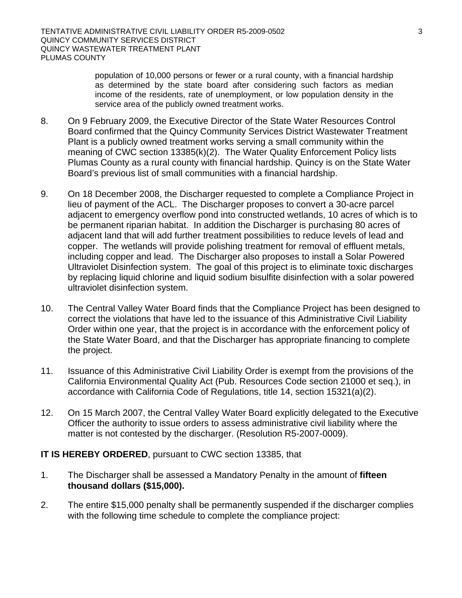population of 10,000 persons or fewer or a rural county, with a financial hardship as determined by the state board after considering such factors as median income of the residents, rate of unemployment, or low population density in the service area of the publicly owned treatment works.

- 8. On 9 February 2009, the Executive Director of the State Water Resources Control Board confirmed that the Quincy Community Services District Wastewater Treatment Plant is a publicly owned treatment works serving a small community within the meaning of CWC section 13385(k)(2). The Water Quality Enforcement Policy lists Plumas County as a rural county with financial hardship. Quincy is on the State Water Board's previous list of small communities with a financial hardship.
- 9. On 18 December 2008, the Discharger requested to complete a Compliance Project in lieu of payment of the ACL. The Discharger proposes to convert a 30-acre parcel adjacent to emergency overflow pond into constructed wetlands, 10 acres of which is to be permanent riparian habitat. In addition the Discharger is purchasing 80 acres of adjacent land that will add further treatment possibilities to reduce levels of lead and copper. The wetlands will provide polishing treatment for removal of effluent metals, including copper and lead. The Discharger also proposes to install a Solar Powered Ultraviolet Disinfection system. The goal of this project is to eliminate toxic discharges by replacing liquid chlorine and liquid sodium bisulfite disinfection with a solar powered ultraviolet disinfection system.
- 10. The Central Valley Water Board finds that the Compliance Project has been designed to correct the violations that have led to the issuance of this Administrative Civil Liability Order within one year, that the project is in accordance with the enforcement policy of the State Water Board, and that the Discharger has appropriate financing to complete the project.
- 11. Issuance of this Administrative Civil Liability Order is exempt from the provisions of the California Environmental Quality Act (Pub. Resources Code section 21000 et seq.), in accordance with California Code of Regulations, title 14, section 15321(a)(2).
- 12. On 15 March 2007, the Central Valley Water Board explicitly delegated to the Executive Officer the authority to issue orders to assess administrative civil liability where the matter is not contested by the discharger. (Resolution R5-2007-0009).

# **IT IS HEREBY ORDERED**, pursuant to CWC section 13385, that

- 1. The Discharger shall be assessed a Mandatory Penalty in the amount of **fifteen thousand dollars (\$15,000).**
- 2. The entire \$15,000 penalty shall be permanently suspended if the discharger complies with the following time schedule to complete the compliance project: